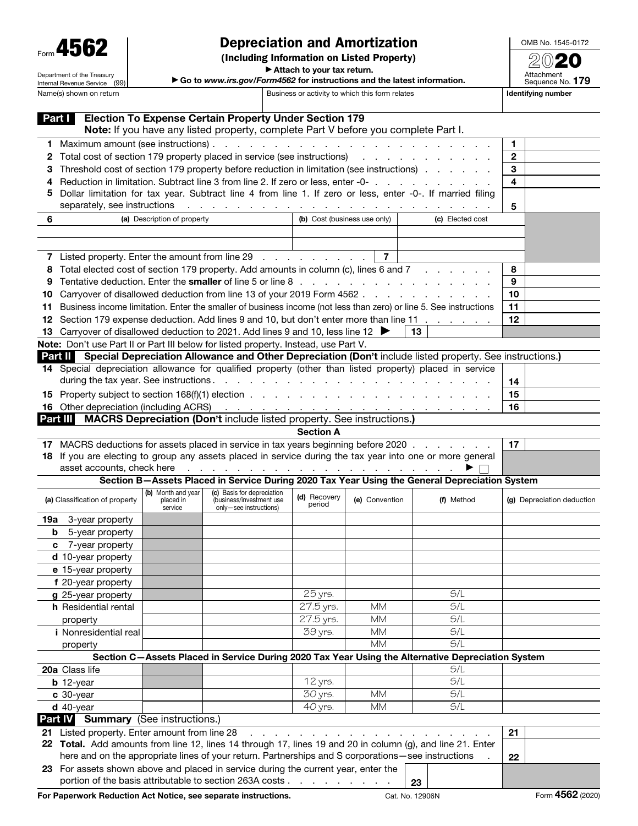| Form 4562 |
|-----------|
|-----------|

Department of the Treasury Internal Revenue Service (99)

## Depreciation and Amortization

(Including Information on Listed Property)

OMB No. 1545-0172

▶ Attach to your tax return. ▶ Go to *www.irs.gov/Form4562* for instructions and the latest information.

| Attachment<br>Sequence No. 179 |
|--------------------------------|
|                                |

| Name(s) shown on return |                                                                                                                                                                                                                                   |                                            |                                                                                                                                                                                                                                | Business or activity to which this form relates |                |                                                                                                                   | Identifying number         |  |  |
|-------------------------|-----------------------------------------------------------------------------------------------------------------------------------------------------------------------------------------------------------------------------------|--------------------------------------------|--------------------------------------------------------------------------------------------------------------------------------------------------------------------------------------------------------------------------------|-------------------------------------------------|----------------|-------------------------------------------------------------------------------------------------------------------|----------------------------|--|--|
| Part I                  |                                                                                                                                                                                                                                   |                                            | <b>Election To Expense Certain Property Under Section 179</b>                                                                                                                                                                  |                                                 |                |                                                                                                                   |                            |  |  |
|                         |                                                                                                                                                                                                                                   |                                            | Note: If you have any listed property, complete Part V before you complete Part I.                                                                                                                                             |                                                 |                |                                                                                                                   |                            |  |  |
| 1                       |                                                                                                                                                                                                                                   |                                            |                                                                                                                                                                                                                                |                                                 |                |                                                                                                                   | 1                          |  |  |
| 2                       | Total cost of section 179 property placed in service (see instructions) and a cost of section 179 property placed in service (see instructions)                                                                                   |                                            |                                                                                                                                                                                                                                |                                                 |                |                                                                                                                   | $\mathbf{2}$               |  |  |
| з                       | Threshold cost of section 179 property before reduction in limitation (see instructions)                                                                                                                                          |                                            |                                                                                                                                                                                                                                |                                                 |                |                                                                                                                   | 3                          |  |  |
| 4                       | Reduction in limitation. Subtract line 3 from line 2. If zero or less, enter -0-                                                                                                                                                  |                                            |                                                                                                                                                                                                                                |                                                 |                |                                                                                                                   | 4                          |  |  |
| 5                       | Dollar limitation for tax year. Subtract line 4 from line 1. If zero or less, enter -0-. If married filing<br>separately, see instructions<br>and the contract of the contract of the contract of the contract of the contract of |                                            |                                                                                                                                                                                                                                |                                                 |                |                                                                                                                   |                            |  |  |
|                         |                                                                                                                                                                                                                                   |                                            |                                                                                                                                                                                                                                |                                                 |                |                                                                                                                   | 5                          |  |  |
| 6                       |                                                                                                                                                                                                                                   | (a) Description of property                |                                                                                                                                                                                                                                | (b) Cost (business use only)                    |                | (c) Elected cost                                                                                                  |                            |  |  |
|                         |                                                                                                                                                                                                                                   |                                            |                                                                                                                                                                                                                                |                                                 |                |                                                                                                                   |                            |  |  |
|                         |                                                                                                                                                                                                                                   |                                            |                                                                                                                                                                                                                                |                                                 |                |                                                                                                                   |                            |  |  |
| $\mathbf{7}$            | Listed property. Enter the amount from line 29                                                                                                                                                                                    |                                            |                                                                                                                                                                                                                                |                                                 | $\overline{7}$ |                                                                                                                   |                            |  |  |
| 8                       | Total elected cost of section 179 property. Add amounts in column (c), lines 6 and 7                                                                                                                                              |                                            |                                                                                                                                                                                                                                |                                                 |                |                                                                                                                   | 8                          |  |  |
| 9                       |                                                                                                                                                                                                                                   |                                            |                                                                                                                                                                                                                                |                                                 |                |                                                                                                                   | 9                          |  |  |
| 10                      |                                                                                                                                                                                                                                   |                                            |                                                                                                                                                                                                                                |                                                 |                | Carryover of disallowed deduction from line 13 of your 2019 Form 4562                                             | 10                         |  |  |
| 11                      |                                                                                                                                                                                                                                   |                                            |                                                                                                                                                                                                                                |                                                 |                | Business income limitation. Enter the smaller of business income (not less than zero) or line 5. See instructions | 11                         |  |  |
| 12                      | Section 179 expense deduction. Add lines 9 and 10, but don't enter more than line 11                                                                                                                                              |                                            |                                                                                                                                                                                                                                |                                                 |                |                                                                                                                   | 12                         |  |  |
| 13                      | Carryover of disallowed deduction to 2021. Add lines 9 and 10, less line 12 ▶<br>13<br>Note: Don't use Part II or Part III below for listed property. Instead, use Part V.                                                        |                                            |                                                                                                                                                                                                                                |                                                 |                |                                                                                                                   |                            |  |  |
|                         |                                                                                                                                                                                                                                   |                                            |                                                                                                                                                                                                                                |                                                 |                | Part II Special Depreciation Allowance and Other Depreciation (Don't include listed property. See instructions.)  |                            |  |  |
|                         |                                                                                                                                                                                                                                   |                                            |                                                                                                                                                                                                                                |                                                 |                | 14 Special depreciation allowance for qualified property (other than listed property) placed in service           |                            |  |  |
|                         |                                                                                                                                                                                                                                   |                                            |                                                                                                                                                                                                                                |                                                 |                |                                                                                                                   | 14                         |  |  |
|                         |                                                                                                                                                                                                                                   |                                            |                                                                                                                                                                                                                                |                                                 |                |                                                                                                                   | 15                         |  |  |
|                         | 16 Other depreciation (including ACRS)                                                                                                                                                                                            |                                            |                                                                                                                                                                                                                                |                                                 |                |                                                                                                                   | 16                         |  |  |
| Part III                |                                                                                                                                                                                                                                   |                                            | <b>MACRS Depreciation (Don't include listed property. See instructions.)</b>                                                                                                                                                   |                                                 |                |                                                                                                                   |                            |  |  |
|                         |                                                                                                                                                                                                                                   |                                            |                                                                                                                                                                                                                                | <b>Section A</b>                                |                |                                                                                                                   |                            |  |  |
|                         |                                                                                                                                                                                                                                   |                                            |                                                                                                                                                                                                                                |                                                 |                | 17 MACRS deductions for assets placed in service in tax years beginning before 2020                               | 17                         |  |  |
|                         |                                                                                                                                                                                                                                   |                                            |                                                                                                                                                                                                                                |                                                 |                | 18 If you are electing to group any assets placed in service during the tax year into one or more general         |                            |  |  |
|                         | asset accounts, check here                                                                                                                                                                                                        |                                            | the contract of the contract of the contract of the contract of the contract of the contract of the contract of the contract of the contract of the contract of the contract of the contract of the contract of the contract o |                                                 |                | ▶                                                                                                                 |                            |  |  |
|                         |                                                                                                                                                                                                                                   |                                            |                                                                                                                                                                                                                                |                                                 |                | Section B-Assets Placed in Service During 2020 Tax Year Using the General Depreciation System                     |                            |  |  |
|                         | (a) Classification of property                                                                                                                                                                                                    | (b) Month and year<br>placed in<br>service | (c) Basis for depreciation<br>(business/investment use<br>only-see instructions)                                                                                                                                               | (d) Recovery<br>period                          | (e) Convention | (f) Method                                                                                                        | (g) Depreciation deduction |  |  |
| 19a                     | 3-year property                                                                                                                                                                                                                   |                                            |                                                                                                                                                                                                                                |                                                 |                |                                                                                                                   |                            |  |  |
| b                       | 5-year property                                                                                                                                                                                                                   |                                            |                                                                                                                                                                                                                                |                                                 |                |                                                                                                                   |                            |  |  |
| c                       | 7-year property                                                                                                                                                                                                                   |                                            |                                                                                                                                                                                                                                |                                                 |                |                                                                                                                   |                            |  |  |
|                         | d 10-year property                                                                                                                                                                                                                |                                            |                                                                                                                                                                                                                                |                                                 |                |                                                                                                                   |                            |  |  |
|                         | e 15-year property                                                                                                                                                                                                                |                                            |                                                                                                                                                                                                                                |                                                 |                |                                                                                                                   |                            |  |  |
|                         | f 20-year property                                                                                                                                                                                                                |                                            |                                                                                                                                                                                                                                |                                                 |                |                                                                                                                   |                            |  |  |
|                         | g 25-year property                                                                                                                                                                                                                |                                            |                                                                                                                                                                                                                                | 25 yrs.                                         |                | S/L                                                                                                               |                            |  |  |
|                         | h Residential rental                                                                                                                                                                                                              |                                            |                                                                                                                                                                                                                                | 27.5 yrs.                                       | <b>MM</b>      | S/L                                                                                                               |                            |  |  |
|                         | property                                                                                                                                                                                                                          |                                            |                                                                                                                                                                                                                                | 27.5 yrs.                                       | <b>MM</b>      | S/L                                                                                                               |                            |  |  |
|                         | <i>i</i> Nonresidential real                                                                                                                                                                                                      |                                            |                                                                                                                                                                                                                                | 39 yrs.                                         | <b>MM</b>      | S/L                                                                                                               |                            |  |  |
|                         | property                                                                                                                                                                                                                          |                                            |                                                                                                                                                                                                                                |                                                 | <b>MM</b>      | S/L                                                                                                               |                            |  |  |
|                         |                                                                                                                                                                                                                                   |                                            |                                                                                                                                                                                                                                |                                                 |                | Section C-Assets Placed in Service During 2020 Tax Year Using the Alternative Depreciation System                 |                            |  |  |
|                         | 20a Class life                                                                                                                                                                                                                    |                                            |                                                                                                                                                                                                                                |                                                 |                | S/L                                                                                                               |                            |  |  |
|                         | $b$ 12-year                                                                                                                                                                                                                       |                                            |                                                                                                                                                                                                                                | 12 yrs.                                         |                | S/L                                                                                                               |                            |  |  |
|                         | c 30-year                                                                                                                                                                                                                         |                                            |                                                                                                                                                                                                                                | 30 yrs.                                         | <b>MM</b>      | S/L                                                                                                               |                            |  |  |
|                         | $d$ 40-year                                                                                                                                                                                                                       |                                            |                                                                                                                                                                                                                                | 40 yrs.                                         | <b>MM</b>      | S/L                                                                                                               |                            |  |  |
| <b>Part IV</b>          | <b>Summary</b> (See instructions.)                                                                                                                                                                                                |                                            |                                                                                                                                                                                                                                |                                                 |                |                                                                                                                   |                            |  |  |
|                         | 21 Listed property. Enter amount from line 28                                                                                                                                                                                     |                                            |                                                                                                                                                                                                                                |                                                 |                |                                                                                                                   | 21                         |  |  |
|                         | here and on the appropriate lines of your return. Partnerships and S corporations-see instructions                                                                                                                                |                                            |                                                                                                                                                                                                                                |                                                 |                | 22 Total. Add amounts from line 12, lines 14 through 17, lines 19 and 20 in column (g), and line 21. Enter        |                            |  |  |
|                         |                                                                                                                                                                                                                                   |                                            |                                                                                                                                                                                                                                |                                                 |                |                                                                                                                   | 22                         |  |  |
|                         |                                                                                                                                                                                                                                   |                                            | 23 For assets shown above and placed in service during the current year, enter the                                                                                                                                             |                                                 |                |                                                                                                                   |                            |  |  |